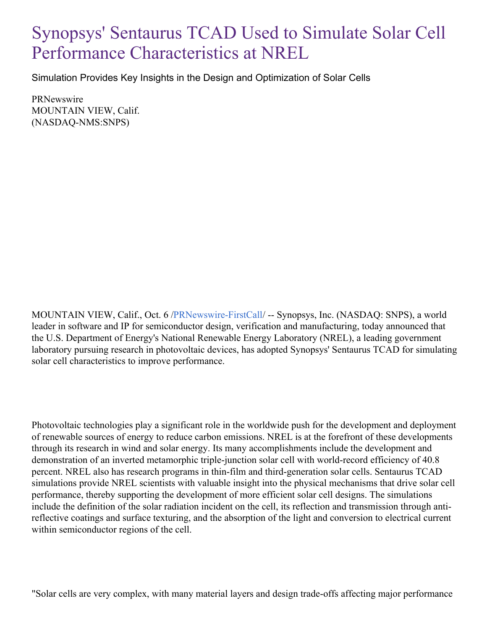## Synopsys' Sentaurus TCAD Used to Simulate Solar Cell Performance Characteristics at NREL

Simulation Provides Key Insights in the Design and Optimization of Solar Cells

PRNewswire MOUNTAIN VIEW, Calif. (NASDAQ-NMS:SNPS)

MOUNTAIN VIEW, Calif., Oct. 6 [/PRNewswire-FirstCall](http://www.prnewswire.com/)/ -- Synopsys, Inc. (NASDAQ: SNPS), a world leader in software and IP for semiconductor design, verification and manufacturing, today announced that the U.S. Department of Energy's National Renewable Energy Laboratory (NREL), a leading government laboratory pursuing research in photovoltaic devices, has adopted Synopsys' Sentaurus TCAD for simulating solar cell characteristics to improve performance.

Photovoltaic technologies play a significant role in the worldwide push for the development and deployment of renewable sources of energy to reduce carbon emissions. NREL is at the forefront of these developments through its research in wind and solar energy. Its many accomplishments include the development and demonstration of an inverted metamorphic triple-junction solar cell with world-record efficiency of 40.8 percent. NREL also has research programs in thin-film and third-generation solar cells. Sentaurus TCAD simulations provide NREL scientists with valuable insight into the physical mechanisms that drive solar cell performance, thereby supporting the development of more efficient solar cell designs. The simulations include the definition of the solar radiation incident on the cell, its reflection and transmission through antireflective coatings and surface texturing, and the absorption of the light and conversion to electrical current within semiconductor regions of the cell.

"Solar cells are very complex, with many material layers and design trade-offs affecting major performance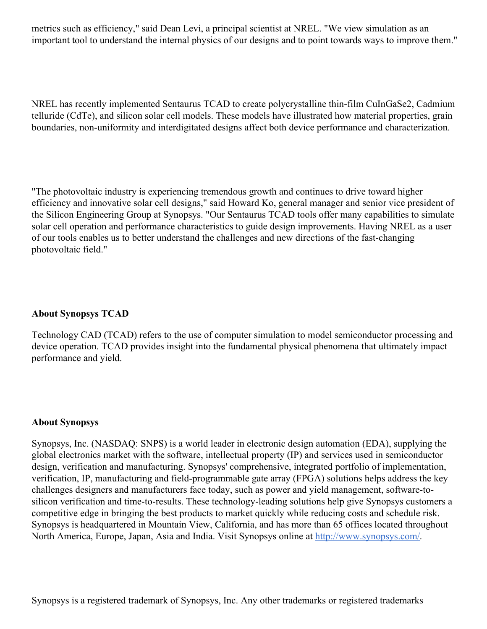metrics such as efficiency," said Dean Levi, a principal scientist at NREL. "We view simulation as an important tool to understand the internal physics of our designs and to point towards ways to improve them."

NREL has recently implemented Sentaurus TCAD to create polycrystalline thin-film CuInGaSe2, Cadmium telluride (CdTe), and silicon solar cell models. These models have illustrated how material properties, grain boundaries, non-uniformity and interdigitated designs affect both device performance and characterization.

"The photovoltaic industry is experiencing tremendous growth and continues to drive toward higher efficiency and innovative solar cell designs," said Howard Ko, general manager and senior vice president of the Silicon Engineering Group at Synopsys. "Our Sentaurus TCAD tools offer many capabilities to simulate solar cell operation and performance characteristics to guide design improvements. Having NREL as a user of our tools enables us to better understand the challenges and new directions of the fast-changing photovoltaic field."

## **About Synopsys TCAD**

Technology CAD (TCAD) refers to the use of computer simulation to model semiconductor processing and device operation. TCAD provides insight into the fundamental physical phenomena that ultimately impact performance and yield.

## **About Synopsys**

Synopsys, Inc. (NASDAQ: SNPS) is a world leader in electronic design automation (EDA), supplying the global electronics market with the software, intellectual property (IP) and services used in semiconductor design, verification and manufacturing. Synopsys' comprehensive, integrated portfolio of implementation, verification, IP, manufacturing and field-programmable gate array (FPGA) solutions helps address the key challenges designers and manufacturers face today, such as power and yield management, software-tosilicon verification and time-to-results. These technology-leading solutions help give Synopsys customers a competitive edge in bringing the best products to market quickly while reducing costs and schedule risk. Synopsys is headquartered in Mountain View, California, and has more than 65 offices located throughout North America, Europe, Japan, Asia and India. Visit Synopsys online at <http://www.synopsys.com/>.